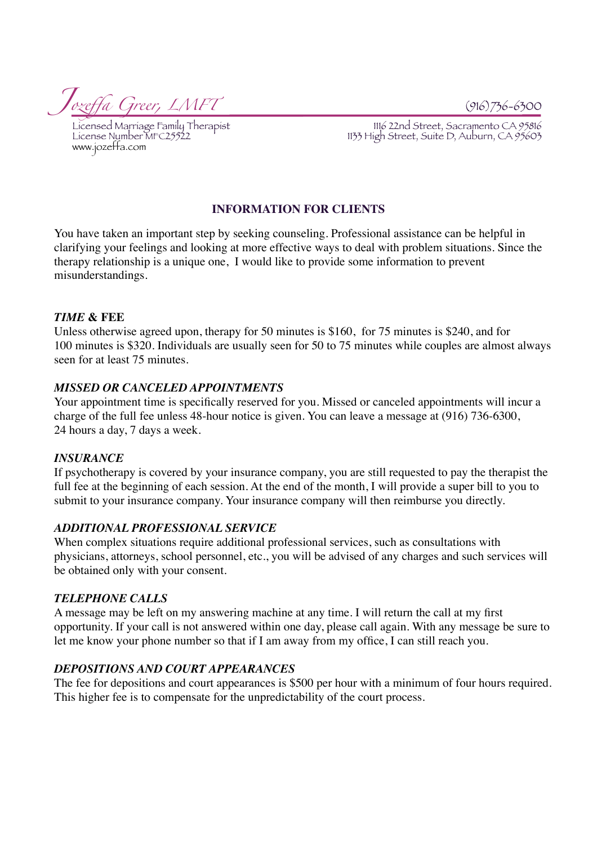*Joze*ff*a Greer, LMFT* (916)736-6300

www.jozeffa.com

Licensed Marriage Family Therapist<br>License Number MFC25522<br>1133 High Street, Suite D, Auburn, CA 95603 1133 High Street, Suite D, Auburn, CA 95603

# **INFORMATION FOR CLIENTS**

You have taken an important step by seeking counseling. Professional assistance can be helpful in clarifying your feelings and looking at more effective ways to deal with problem situations. Since the therapy relationship is a unique one, I would like to provide some information to prevent misunderstandings.

### *TIME* **& FEE**

Unless otherwise agreed upon, therapy for 50 minutes is \$160, for 75 minutes is \$240, and for 100 minutes is \$320. Individuals are usually seen for 50 to 75 minutes while couples are almost always seen for at least 75 minutes.

## *MISSED OR CANCELED APPOINTMENTS*

Your appointment time is specifically reserved for you. Missed or canceled appointments will incur a charge of the full fee unless 48-hour notice is given. You can leave a message at (916) 736-6300, 24 hours a day, 7 days a week.

# *INSURANCE*

If psychotherapy is covered by your insurance company, you are still requested to pay the therapist the full fee at the beginning of each session. At the end of the month, I will provide a super bill to you to submit to your insurance company. Your insurance company will then reimburse you directly.

# *ADDITIONAL PROFESSIONAL SERVICE*

When complex situations require additional professional services, such as consultations with physicians, attorneys, school personnel, etc., you will be advised of any charges and such services will be obtained only with your consent.

# *TELEPHONE CALLS*

A message may be left on my answering machine at any time. I will return the call at my first opportunity. If your call is not answered within one day, please call again. With any message be sure to let me know your phone number so that if I am away from my office, I can still reach you.

### *DEPOSITIONS AND COURT APPEARANCES*

The fee for depositions and court appearances is \$500 per hour with a minimum of four hours required. This higher fee is to compensate for the unpredictability of the court process.